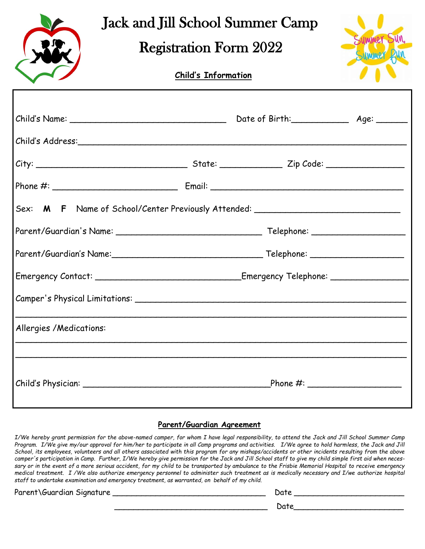## Jack and Jill School Summer Camp

## Registration Form 2022

## **Child's Information**

| Summer Sun, |
|-------------|
| Summer      |
|             |
|             |

| Sex: M F Name of School/Center Previously Attended: ____________________________ |  |  |  |
|----------------------------------------------------------------------------------|--|--|--|
|                                                                                  |  |  |  |
|                                                                                  |  |  |  |
|                                                                                  |  |  |  |
|                                                                                  |  |  |  |
| Allergies / Medications:                                                         |  |  |  |
|                                                                                  |  |  |  |

## **Parent/Guardian Agreement**

*I/We hereby grant permission for the above-named camper, for whom I have legal responsibility, to attend the Jack and Jill School Summer Camp Program. I/We give my/our approval for him/her to participate in all Camp programs and activities. I/We agree to hold harmless, the Jack and Jill School, its employees, volunteers and all others associated with this program for any mishaps/accidents or other incidents resulting from the above camper's participation in Camp. Further, I/We hereby give permission for the Jack and Jill School staff to give my child simple first aid when necessary or in the event of a more serious accident, for my child to be transported by ambulance to the Frisbie Memorial Hospital to receive emergency medical treatment. I /We also authorize emergency personnel to administer such treatment as is medically necessary and I/we authorize hospital staff to undertake examination and emergency treatment, as warranted, on behalf of my child.*

Parent\Guardian Signature \_\_\_\_\_\_\_\_\_\_\_\_\_\_\_\_\_\_\_\_\_\_\_\_\_\_\_\_\_\_\_\_ Date \_\_\_\_\_\_\_\_\_\_\_\_\_\_\_\_\_\_\_\_\_\_\_

 $Date$  and  $Date$  and  $Date$  and  $Date$  and  $Date$  and  $Date$  and  $Date$  and  $Date$  and  $Date$  and  $Date$  and  $Date$  and  $Date$  and  $Date$  and  $Date$  and  $Date$  and  $Date$  and  $Date$  and  $Date$  and  $Date$  and  $Date$  and  $Date$  and  $Date$  and  $Date$  and  $Date$  and  $Date$  and  $Date$  and  $Date$  and  $Date$  a